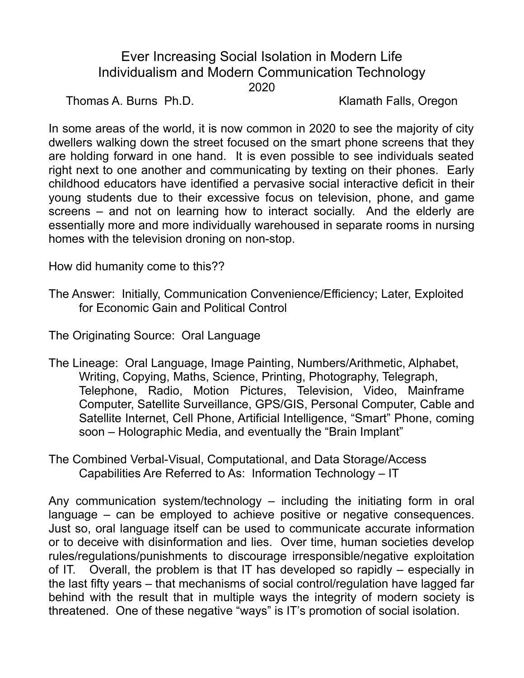## Ever Increasing Social Isolation in Modern Life Individualism and Modern Communication Technology 2020

Thomas A. Burns Ph.D. Klamath Falls, Oregon

In some areas of the world, it is now common in 2020 to see the majority of city dwellers walking down the street focused on the smart phone screens that they are holding forward in one hand. It is even possible to see individuals seated right next to one another and communicating by texting on their phones. Early childhood educators have identified a pervasive social interactive deficit in their young students due to their excessive focus on television, phone, and game screens – and not on learning how to interact socially. And the elderly are essentially more and more individually warehoused in separate rooms in nursing homes with the television droning on non-stop.

How did humanity come to this??

The Answer: Initially, Communication Convenience/Efficiency; Later, Exploited for Economic Gain and Political Control

The Originating Source: Oral Language

- The Lineage: Oral Language, Image Painting, Numbers/Arithmetic, Alphabet, Writing, Copying, Maths, Science, Printing, Photography, Telegraph, Telephone, Radio, Motion Pictures, Television, Video, Mainframe Computer, Satellite Surveillance, GPS/GIS, Personal Computer, Cable and Satellite Internet, Cell Phone, Artificial Intelligence, "Smart" Phone, coming soon – Holographic Media, and eventually the "Brain Implant"
- The Combined Verbal-Visual, Computational, and Data Storage/Access Capabilities Are Referred to As: Information Technology – IT

Any communication system/technology – including the initiating form in oral language – can be employed to achieve positive or negative consequences. Just so, oral language itself can be used to communicate accurate information or to deceive with disinformation and lies. Over time, human societies develop rules/regulations/punishments to discourage irresponsible/negative exploitation of IT. Overall, the problem is that IT has developed so rapidly – especially in the last fifty years – that mechanisms of social control/regulation have lagged far behind with the result that in multiple ways the integrity of modern society is threatened. One of these negative "ways" is IT's promotion of social isolation.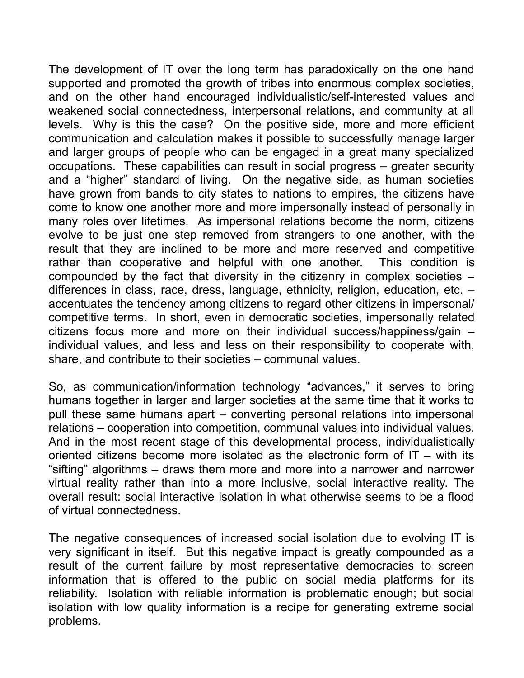The development of IT over the long term has paradoxically on the one hand supported and promoted the growth of tribes into enormous complex societies, and on the other hand encouraged individualistic/self-interested values and weakened social connectedness, interpersonal relations, and community at all levels. Why is this the case? On the positive side, more and more efficient communication and calculation makes it possible to successfully manage larger and larger groups of people who can be engaged in a great many specialized occupations. These capabilities can result in social progress – greater security and a "higher" standard of living. On the negative side, as human societies have grown from bands to city states to nations to empires, the citizens have come to know one another more and more impersonally instead of personally in many roles over lifetimes. As impersonal relations become the norm, citizens evolve to be just one step removed from strangers to one another, with the result that they are inclined to be more and more reserved and competitive rather than cooperative and helpful with one another. This condition is compounded by the fact that diversity in the citizenry in complex societies – differences in class, race, dress, language, ethnicity, religion, education, etc. – accentuates the tendency among citizens to regard other citizens in impersonal/ competitive terms. In short, even in democratic societies, impersonally related citizens focus more and more on their individual success/happiness/gain – individual values, and less and less on their responsibility to cooperate with, share, and contribute to their societies – communal values.

So, as communication/information technology "advances," it serves to bring humans together in larger and larger societies at the same time that it works to pull these same humans apart – converting personal relations into impersonal relations – cooperation into competition, communal values into individual values. And in the most recent stage of this developmental process, individualistically oriented citizens become more isolated as the electronic form of IT – with its "sifting" algorithms – draws them more and more into a narrower and narrower virtual reality rather than into a more inclusive, social interactive reality. The overall result: social interactive isolation in what otherwise seems to be a flood of virtual connectedness.

The negative consequences of increased social isolation due to evolving IT is very significant in itself. But this negative impact is greatly compounded as a result of the current failure by most representative democracies to screen information that is offered to the public on social media platforms for its reliability. Isolation with reliable information is problematic enough; but social isolation with low quality information is a recipe for generating extreme social problems.